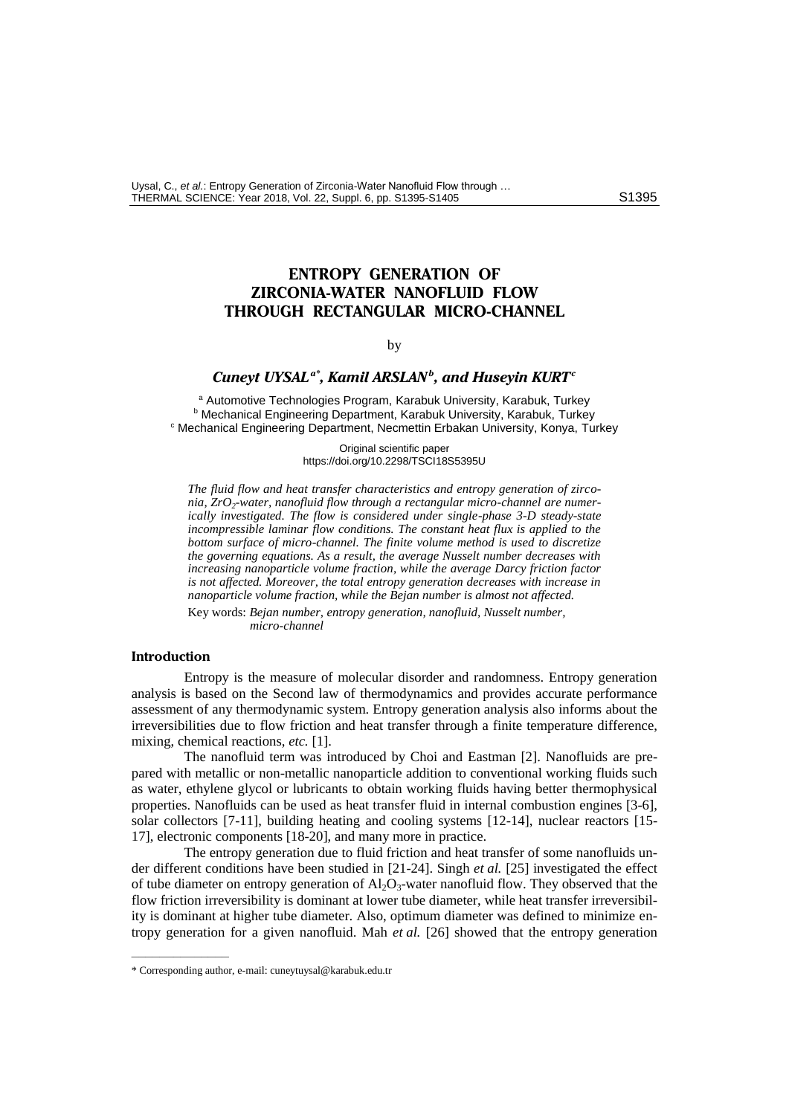# **ENTROPY GENERATION OF ZIRCONIA-WATER NANOFLUID FLOW THROUGH RECTANGULAR MICRO-CHANNEL**

## <span id="page-0-0"></span>by

# *Cuneyt UYSAL a\* , Kamil ARSLAN<sup>b</sup> , and Huseyin KURT<sup>c</sup>*

a Automotive Technologies Program, Karabuk University, Karabuk, Turkey **b Mechanical Engineering Department, Karabuk University, Karabuk, Turkey** <sup>c</sup> Mechanical Engineering Department, Necmettin Erbakan University, Konya, Turkey

> Original scientific paper https://doi.org/10.2298/TSCI18S5395U

*The fluid flow and heat transfer characteristics and entropy generation of zirconia, ZrO2-water, nanofluid flow through a rectangular micro-channel are numerically investigated. The flow is considered under single-phase 3-D steady-state incompressible laminar flow conditions. The constant heat flux is applied to the bottom surface of micro-channel. The finite volume method is used to discretize the governing equations. As a result, the average Nusselt number decreases with increasing nanoparticle volume fraction, while the average Darcy friction factor is not affected. Moreover, the total entropy generation decreases with increase in nanoparticle volume fraction, while the Bejan number is almost not affected.*

Key words: *Bejan number, entropy generation, nanofluid, Nusselt number, micro-channel*

### **Introduction**

––––––––––––––

Entropy is the measure of molecular disorder and randomness. Entropy generation analysis is based on the Second law of thermodynamics and provides accurate performance assessment of any thermodynamic system. Entropy generation analysis also informs about the irreversibilities due to flow friction and heat transfer through a finite temperature difference, mixing, chemical reactions, *etc.* [1].

The nanofluid term was introduced by Choi and Eastman [2]. Nanofluids are prepared with metallic or non-metallic nanoparticle addition to conventional working fluids such as water, ethylene glycol or lubricants to obtain working fluids having better thermophysical properties. Nanofluids can be used as heat transfer fluid in internal combustion engines [3-6], solar collectors [7-11], building heating and cooling systems [12-14], nuclear reactors [15- 17], electronic components [18-20], and many more in practice.

The entropy generation due to fluid friction and heat transfer of some nanofluids under different conditions have been studied in [21-24]. Singh *et al.* [25] investigated the effect of tube diameter on entropy generation of  $A_1O_3$ -water nanofluid flow. They observed that the flow friction irreversibility is dominant at lower tube diameter, while heat transfer irreversibility is dominant at higher tube diameter. Also, optimum diameter was defined to minimize entropy generation for a given nanofluid. Mah *et al.* [26] showed that the entropy generation

<sup>\*</sup> Corresponding author, e-mail: [cuneytuysal@karabuk.edu.tr](mailto:cuneytuysal@karabuk.edu.tr)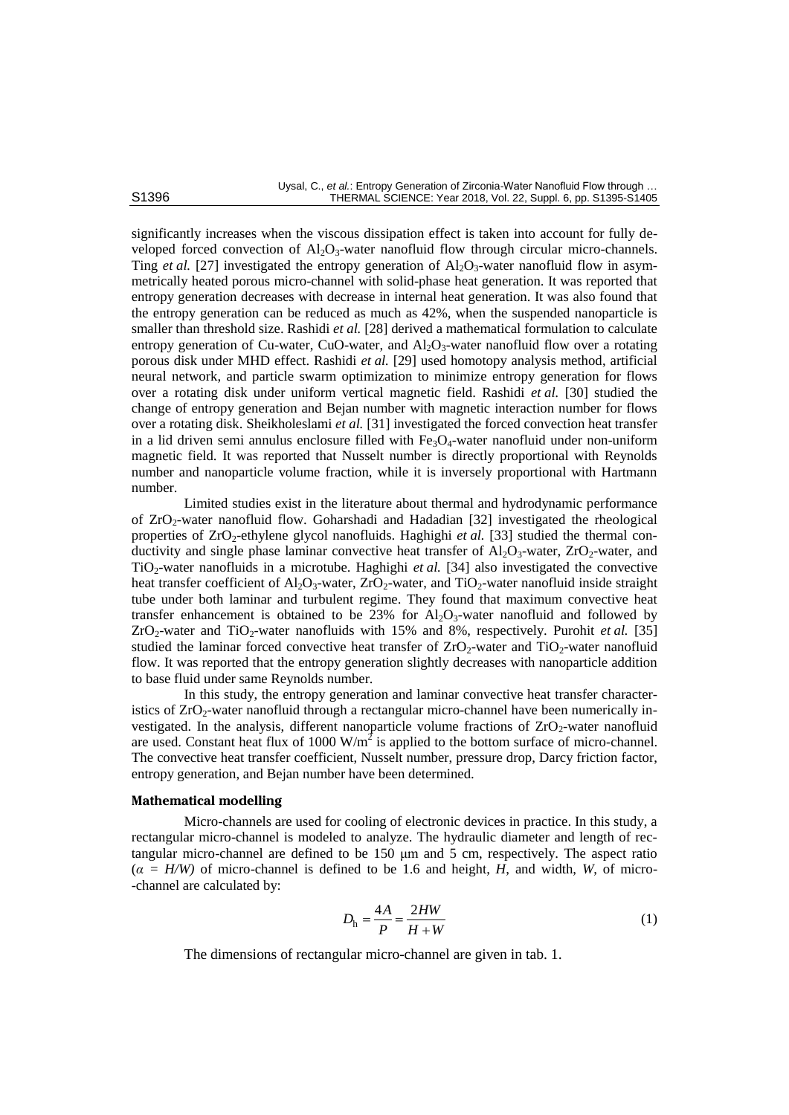significantly increases when the viscous dissipation effect is taken into account for fully developed forced convection of  $A_1<sub>2</sub>O<sub>3</sub>$ -water nanofluid flow through circular micro-channels. Ting *et al.* [27] investigated the entropy generation of  $\text{Al}_2\text{O}_3$ -water nanofluid flow in asymmetrically heated porous micro-channel with solid-phase heat generation. It was reported that entropy generation decreases with decrease in internal heat generation. It was also found that the entropy generation can be reduced as much as 42%, when the suspended nanoparticle is smaller than threshold size. Rashidi *et al.* [28] derived a mathematical formulation to calculate entropy generation of Cu-water, CuO-water, and  $Al_2O_3$ -water nanofluid flow over a rotating porous disk under MHD effect. Rashidi *et al.* [29] used homotopy analysis method, artificial neural network, and particle swarm optimization to minimize entropy generation for flows over a rotating disk under uniform vertical magnetic field. Rashidi *et al.* [30] studied the change of entropy generation and Bejan number with magnetic interaction number for flows over a rotating disk. Sheikholeslami *et al.* [31] investigated the forced convection heat transfer in a lid driven semi annulus enclosure filled with  $Fe<sub>3</sub>O<sub>4</sub>$ -water nanofluid under non-uniform magnetic field. It was reported that Nusselt number is directly proportional with Reynolds number and nanoparticle volume fraction, while it is inversely proportional with Hartmann number.

Limited studies exist in the literature about thermal and hydrodynamic performance of ZrO2-water nanofluid flow. Goharshadi and Hadadian [32] investigated the rheological properties of  $ZrO_2$ -ethylene glycol nanofluids. Haghighi *et al.* [33] studied the thermal conductivity and single phase laminar convective heat transfer of  $Al_2O_3$ -water,  $ZrO_2$ -water, and TiO2-water nanofluids in a microtube. Haghighi *et al.* [34] also investigated the convective heat transfer coefficient of  $Al_2O_3$ -water,  $ZrO_2$ -water, and TiO<sub>2</sub>-water nanofluid inside straight tube under both laminar and turbulent regime. They found that maximum convective heat transfer enhancement is obtained to be  $23%$  for  $Al_2O_3$ -water nanofluid and followed by  $ZrO<sub>2</sub>$ -water and TiO<sub>2</sub>-water nanofluids with 15% and 8%, respectively. Purohit *et al.* [35] studied the laminar forced convective heat transfer of  $ZrO<sub>2</sub>$ -water and TiO<sub>2</sub>-water nanofluid flow. It was reported that the entropy generation slightly decreases with nanoparticle addition to base fluid under same Reynolds number.

In this study, the entropy generation and laminar convective heat transfer characteristics of  $ZrO<sub>2</sub>$ -water nanofluid through a rectangular micro-channel have been numerically investigated. In the analysis, different nanoparticle volume fractions of  $ZrO<sub>2</sub>$ -water nanofluid are used. Constant heat flux of 1000  $W/m^2$  is applied to the bottom surface of micro-channel. The convective heat transfer coefficient, Nusselt number, pressure drop, Darcy friction factor, entropy generation, and Bejan number have been determined.

#### **Mathematical modelling**

Micro-channels are used for cooling of electronic devices in practice. In this study, a rectangular micro-channel is modeled to analyze. The hydraulic diameter and length of rectangular micro-channel are defined to be 150 μm and 5 cm, respectively. The aspect ratio  $(a \equiv H/W)$  of micro-channel is defined to be 1.6 and height, *H*, and width, *W*, of micro--channel are calculated by:

$$
D_{\rm h} = \frac{4A}{P} = \frac{2HW}{H+W} \tag{1}
$$

The dimensions of rectangular micro-channel are given in tab. 1.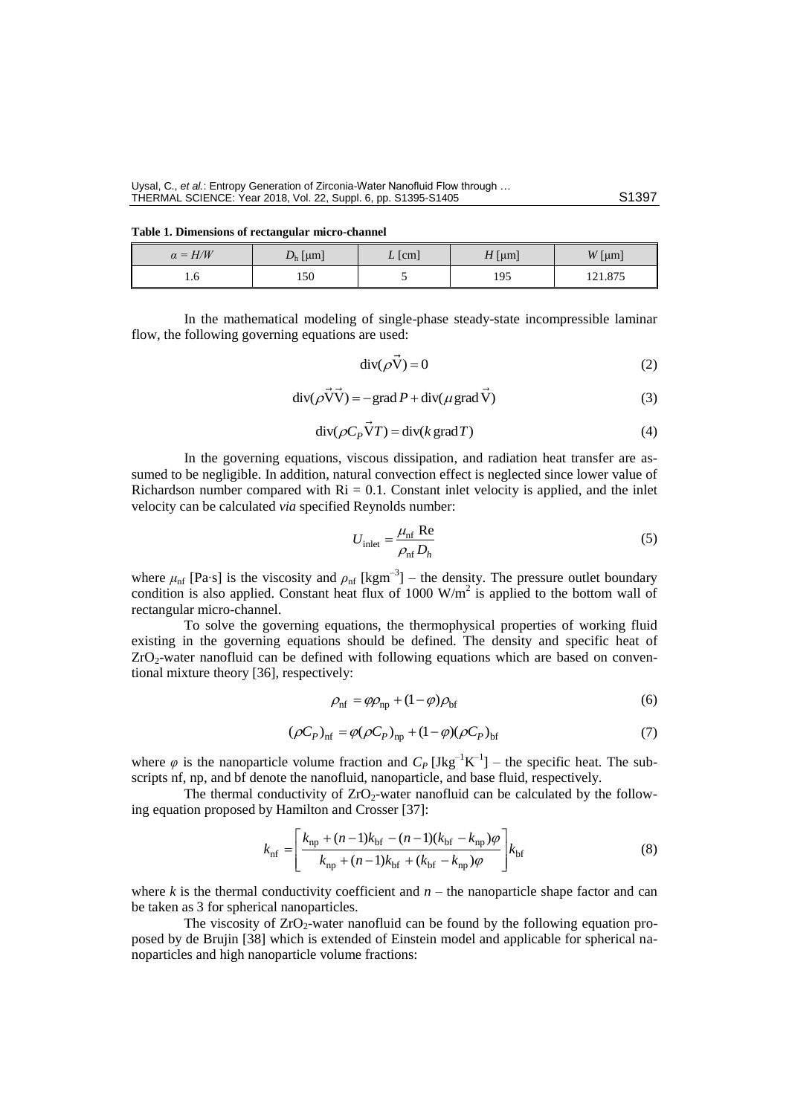|--|--|

| $\alpha = H/W$ | $D_{\rm h}$ [µm] | $L$ [cm] | $H$ [µm] | $W$ [µm] |
|----------------|------------------|----------|----------|----------|
| 1.U            | 150              |          | 195      | 121.875  |

In the mathematical modeling of single-phase steady-state incompressible laminar flow, the following governing equations are used:

$$
div(\rho V) = 0 \tag{2}
$$

$$
\operatorname{div}(\rho \vec{V} \vec{V}) = -\operatorname{grad} P + \operatorname{div}(\mu \operatorname{grad} \vec{V})
$$
 (3)

$$
\operatorname{div}(\rho C_P \vec{\nabla} T) = \operatorname{div}(k \operatorname{grad} T) \tag{4}
$$

In the governing equations, viscous dissipation, and radiation heat transfer are assumed to be negligible. In addition, natural convection effect is neglected since lower value of Richardson number compared with  $\text{Ri} = 0.1$ . Constant inlet velocity is applied, and the inlet velocity can be calculated *via* specified Reynolds number:

$$
U_{\text{inlet}} = \frac{\mu_{\text{nf}} \text{Re}}{\rho_{\text{nf}} D_h} \tag{5}
$$

where  $\mu_{\rm nf}$  [Pa⋅s] is the viscosity and  $\rho_{\rm nf}$  [kgm<sup>-3</sup>] – the density. The pressure outlet boundary condition is also applied. Constant heat flux of 1000  $W/m^2$  is applied to the bottom wall of rectangular micro-channel.

To solve the governing equations, the thermophysical properties of working fluid existing in the governing equations should be defined. The density and specific heat of ZrO2-water nanofluid can be defined with following equations which are based on conventional mixture theory [36], respectively:

$$
\rho_{\rm nf} = \varphi \rho_{\rm np} + (1 - \varphi) \rho_{\rm bf} \tag{6}
$$

$$
(\rho C_P)_{\text{nf}} = \varphi(\rho C_P)_{\text{np}} + (1 - \varphi)(\rho C_P)_{\text{bf}}
$$
\n(7)

where  $\varphi$  is the nanoparticle volume fraction and  $C_P$  [Jkg<sup>-1</sup>K<sup>-1</sup>] – the specific heat. The subscripts nf, np, and bf denote the nanofluid, nanoparticle, and base fluid, respectively.

The thermal conductivity of  $ZrO<sub>2</sub>$ -water nanofluid can be calculated by the following equation proposed by Hamilton and Crosser [37]:

by Hamilton and Crosser [37]:  
\n
$$
k_{\text{nf}} = \left[ \frac{k_{\text{np}} + (n-1)k_{\text{bf}} - (n-1)(k_{\text{bf}} - k_{\text{np}})\varphi}{k_{\text{np}} + (n-1)k_{\text{bf}} + (k_{\text{bf}} - k_{\text{np}})\varphi} \right] k_{\text{bf}}
$$
\n(8)

where  $k$  is the thermal conductivity coefficient and  $n -$  the nanoparticle shape factor and can be taken as 3 for spherical nanoparticles.

The viscosity of  $ZrO<sub>2</sub>$ -water nanofluid can be found by the following equation proposed by de Brujin [38] which is extended of Einstein model and applicable for spherical nanoparticles and high nanoparticle volume fractions: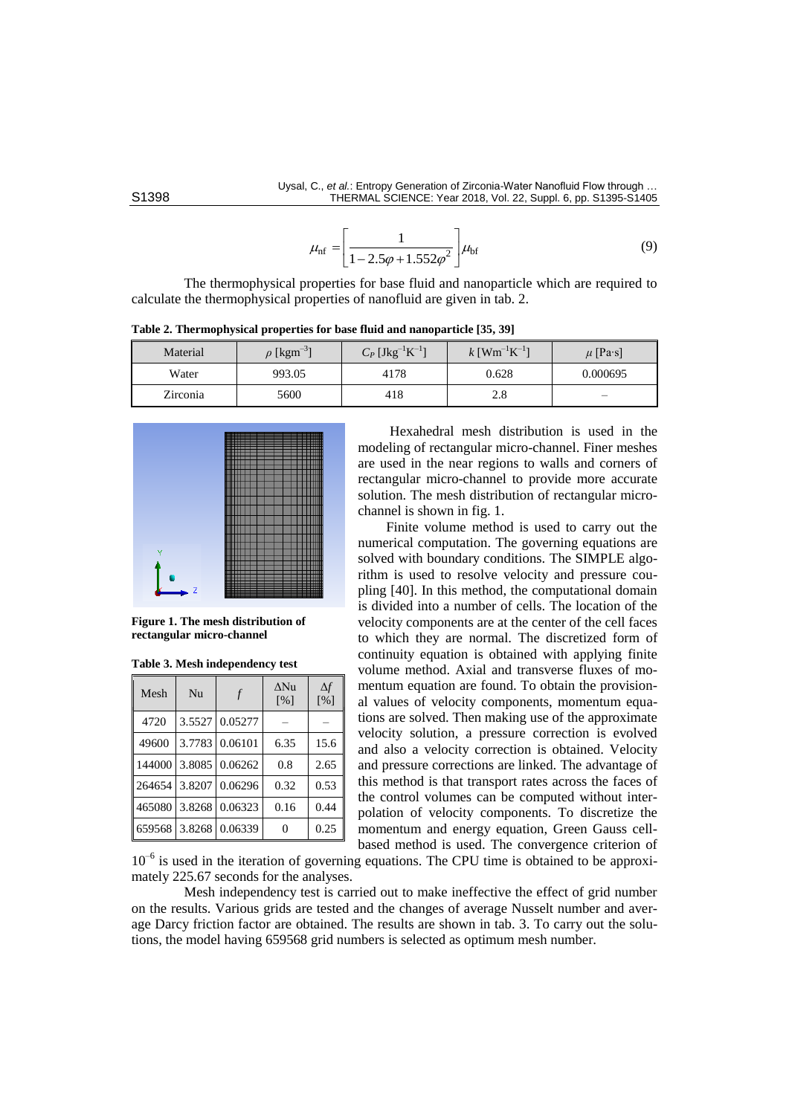$$
\mu_{\rm nf} = \left[ \frac{1}{1 - 2.5\varphi + 1.552\varphi^2} \right] \mu_{\rm bf}
$$
\n(9)

The thermophysical properties for base fluid and nanoparticle which are required to calculate the thermophysical properties of nanofluid are given in tab. 2.

**Table 2. Thermophysical properties for base fluid and nanoparticle [35, 39]**

| Material | $\rho$ [kgm <sup>-3</sup> $\tau$ | $C_P$ [Jkg <sup>-1</sup> K <sup>-1</sup> ] | $k$ [Wm <sup>-1</sup> K <sup>-1</sup> ] | $\mu$ [Pa·s] |
|----------|----------------------------------|--------------------------------------------|-----------------------------------------|--------------|
| Water    | 993.05                           | 4178                                       | 0.628                                   | 0.000695     |
| Zirconia | 5600                             | 418                                        | 2.8                                     |              |



**Figure 1. The mesh distribution of rectangular micro-channel**

|  | Table 3. Mesh independency test |  |
|--|---------------------------------|--|
|--|---------------------------------|--|

| Mesh   | Nu     | $\mathcal{f}$ | $\Delta Nu$<br>$\lceil\% \rceil$ | $\Delta f$<br>$\lceil\% \rceil$ |
|--------|--------|---------------|----------------------------------|---------------------------------|
| 4720   | 3.5527 | 0.05277       |                                  |                                 |
| 49600  | 3,7783 | 0.06101       | 6.35                             | 15.6                            |
| 144000 | 3.8085 | 0.06262       | 0.8                              | 2.65                            |
| 264654 | 3.8207 | 0.06296       | 0.32                             | 0.53                            |
| 465080 | 3.8268 | 0.06323       | 0.16                             | 0.44                            |
| 659568 | 3.8268 | 0.06339       | 0                                | 0.25                            |

Hexahedral mesh distribution is used in the modeling of rectangular micro-channel. Finer meshes are used in the near regions to walls and corners of rectangular micro-channel to provide more accurate solution. The mesh distribution of rectangular microchannel is shown in fig. 1.

Finite volume method is used to carry out the numerical computation. The governing equations are solved with boundary conditions. The SIMPLE algorithm is used to resolve velocity and pressure coupling [40]. In this method, the computational domain is divided into a number of cells. The location of the velocity components are at the center of the cell faces to which they are normal. The discretized form of continuity equation is obtained with applying finite volume method. Axial and transverse fluxes of momentum equation are found. To obtain the provisional values of velocity components, momentum equations are solved. Then making use of the approximate velocity solution, a pressure correction is evolved and also a velocity correction is obtained. Velocity and pressure corrections are linked. The advantage of this method is that transport rates across the faces of the control volumes can be computed without interpolation of velocity components. To discretize the momentum and energy equation, Green Gauss cellbased method is used. The convergence criterion of

 $10^{-6}$  is used in the iteration of governing equations. The CPU time is obtained to be approximately 225.67 seconds for the analyses.

Mesh independency test is carried out to make ineffective the effect of grid number on the results. Various grids are tested and the changes of average Nusselt number and average Darcy friction factor are obtained. The results are shown in tab. 3. To carry out the solutions, the model having 659568 grid numbers is selected as optimum mesh number.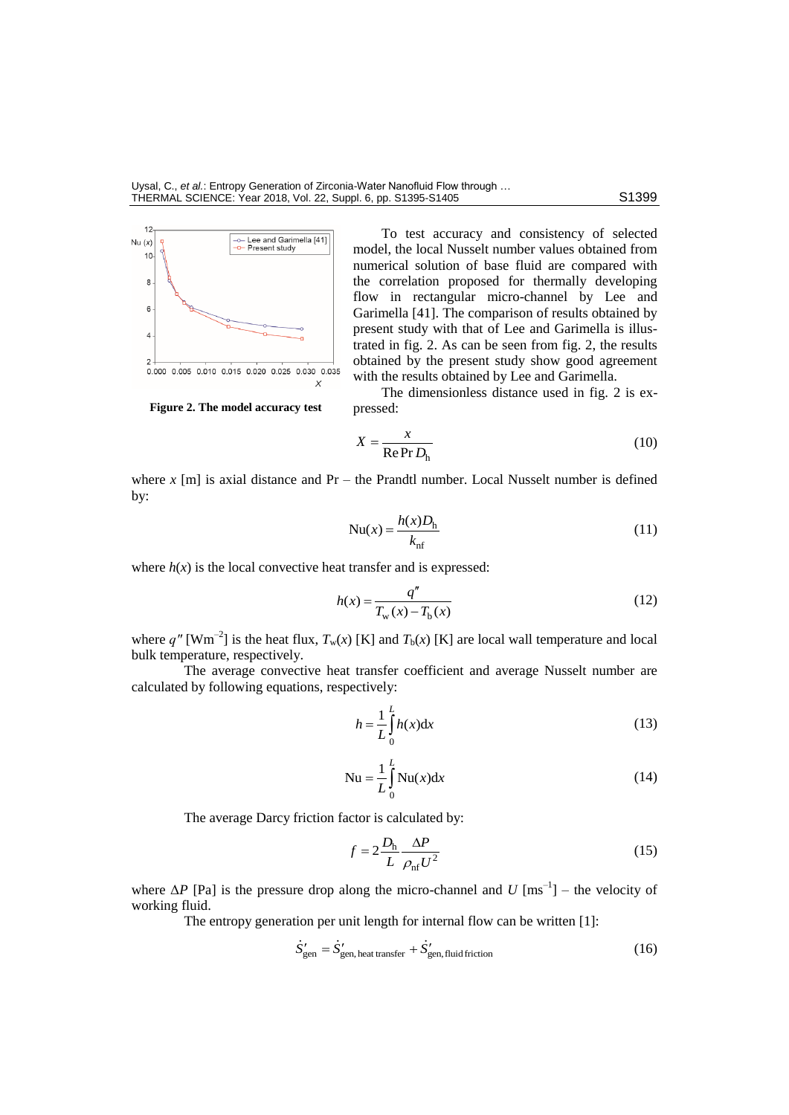

To test accuracy and consistency of selected model, the local Nusselt number values obtained from numerical solution of base fluid are compared with the correlation proposed for thermally developing flow in rectangular micro-channel by Lee and Garimella [41]. The comparison of results obtained by present study with that of Lee and Garimella is illustrated in fig. 2. As can be seen from fig. 2, the results obtained by the present study show good agreement with the results obtained by Lee and Garimella.

The dimensionless distance used in fig. 2 is expressed:

$$
X = \frac{x}{\text{Re} \, \text{Pr} \, D_{\text{h}}} \tag{10}
$$

where  $x$  [m] is axial distance and  $Pr$  – the Prandtl number. Local Nusselt number is defined by:

$$
Nu(x) = \frac{h(x)D_h}{k_{\text{nf}}}
$$
\n(11)

where  $h(x)$  is the local convective heat transfer and is expressed:

$$
h(x) = \frac{q''}{T_{\rm w}(x) - T_{\rm b}(x)}
$$
(12)

where  $q''$  [Wm<sup>-2</sup>] is the heat flux,  $T_w(x)$  [K] and  $T_b(x)$  [K] are local wall temperature and local bulk temperature, respectively.

The average convective heat transfer coefficient and average Nusselt number are calculated by following equations, respectively:

$$
h = \frac{1}{L} \int_{0}^{L} h(x) \, \mathrm{d}x \tag{13}
$$

$$
Nu = \frac{1}{L} \int_{0}^{L} Nu(x) dx
$$
 (14)

The average Darcy friction factor is calculated by:

$$
f = 2\frac{D_{\rm h}}{L} \frac{\Delta P}{\rho_{\rm nf} U^2} \tag{15}
$$

where  $\Delta P$  [Pa] is the pressure drop along the micro-channel and *U* [ms<sup>-1</sup>] – the velocity of working fluid.

The entropy generation per unit length for internal flow can be written [1]:

$$
\dot{S}_{\text{gen}}' = \dot{S}_{\text{gen, heat transfer}}' + \dot{S}_{\text{gen, fluid friction}}'
$$
 (16)

**Figure 2. The model accuracy test**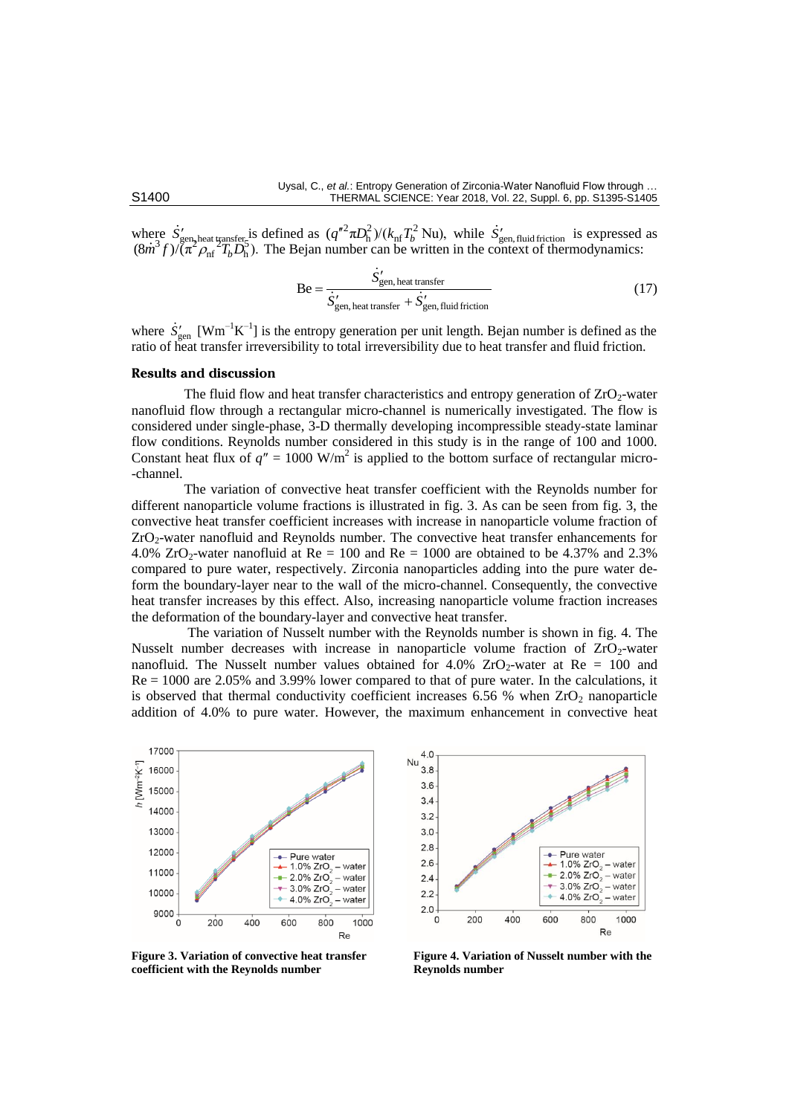where  $\dot{S}_{\text{gen, heat transfer}}'$  is defined as  $(q''^2 \pi D_h^2)/(k_{\text{nf}} T_b^2 \text{ Nu})$ , while  $\dot{S}_{\text{gen, fluid friction}}'$  is expressed as  $(8\dot{m}^3 f)/(\pi^2 \rho_{\text{nf}} T_b D_h^5)$ . The Bejan number can be written in the context of thermodynamics:

$$
Be = \frac{S'_{gen, heat transfer}}{\dot{S}'_{gen, heat transfer} + \dot{S}'_{gen, fluid friction}}
$$
 (17)

where  $\dot{S}_{\text{gen}}'$  [Wm<sup>-1</sup>K<sup>-1</sup>] is the entropy generation per unit length. Bejan number is defined as the ratio of heat transfer irreversibility to total irreversibility due to heat transfer and fluid friction.

#### **Results and discussion**

The fluid flow and heat transfer characteristics and entropy generation of  $ZrO<sub>2</sub>$ -water nanofluid flow through a rectangular micro-channel is numerically investigated. The flow is considered under single-phase, 3-D thermally developing incompressible steady-state laminar flow conditions. Reynolds number considered in this study is in the range of 100 and 1000. Constant heat flux of  $q'' = 1000 \text{ W/m}^2$  is applied to the bottom surface of rectangular micro--channel.

The variation of convective heat transfer coefficient with the Reynolds number for different nanoparticle volume fractions is illustrated in fig. 3. As can be seen from fig. 3, the convective heat transfer coefficient increases with increase in nanoparticle volume fraction of  $ZrO<sub>2</sub>$ -water nanofluid and Reynolds number. The convective heat transfer enhancements for 4.0% ZrO<sub>2</sub>-water nanofluid at Re = 100 and Re = 1000 are obtained to be 4.37% and 2.3% compared to pure water, respectively. Zirconia nanoparticles adding into the pure water deform the boundary-layer near to the wall of the micro-channel. Consequently, the convective heat transfer increases by this effect. Also, increasing nanoparticle volume fraction increases the deformation of the boundary-layer and convective heat transfer.

The variation of Nusselt number with the Reynolds number is shown in fig. 4. The Nusselt number decreases with increase in nanoparticle volume fraction of  $ZrO<sub>2</sub>$ -water nanofluid. The Nusselt number values obtained for 4.0% ZrO<sub>2</sub>-water at Re = 100 and Re = 1000 are 2.05% and 3.99% lower compared to that of pure water. In the calculations, it is observed that thermal conductivity coefficient increases 6.56 % when  $ZrO<sub>2</sub>$  nanoparticle addition of 4.0% to pure water. However, the maximum enhancement in convective heat



**Figure 3. Variation of convective heat transfer coefficient with the Reynolds number**



**Figure 4. Variation of Nusselt number with the Reynolds number**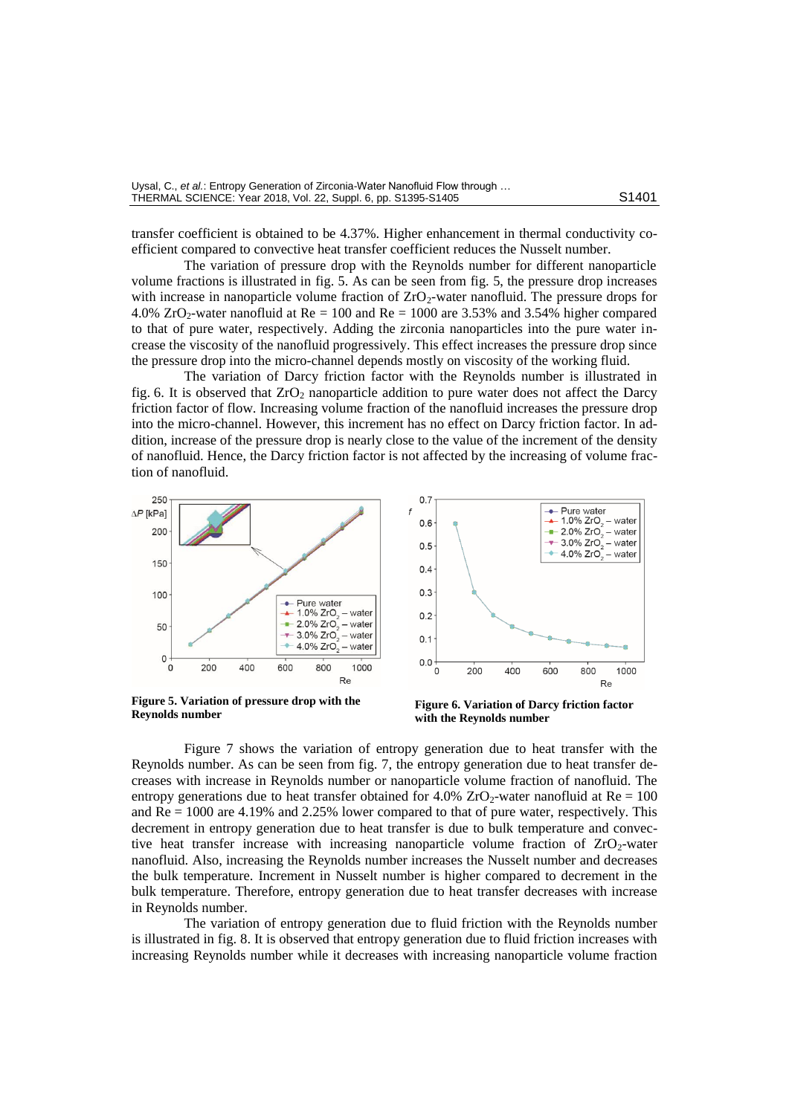transfer coefficient is obtained to be 4.37%. Higher enhancement in thermal conductivity coefficient compared to convective heat transfer coefficient reduces the Nusselt number.

The variation of pressure drop with the Reynolds number for different nanoparticle volume fractions is illustrated in fig. 5. As can be seen from fig. 5, the pressure drop increases with increase in nanoparticle volume fraction of  $ZrO<sub>2</sub>$ -water nanofluid. The pressure drops for 4.0% ZrO<sub>2</sub>-water nanofluid at Re = 100 and Re = 1000 are 3.53% and 3.54% higher compared to that of pure water, respectively. Adding the zirconia nanoparticles into the pure water increase the viscosity of the nanofluid progressively. This effect increases the pressure drop since the pressure drop into the micro-channel depends mostly on viscosity of the working fluid.

The variation of Darcy friction factor with the Reynolds number is illustrated in fig. 6. It is observed that  $ZrO<sub>2</sub>$  nanoparticle addition to pure water does not affect the Darcy friction factor of flow. Increasing volume fraction of the nanofluid increases the pressure drop into the micro-channel. However, this increment has no effect on Darcy friction factor. In addition, increase of the pressure drop is nearly close to the value of the increment of the density of nanofluid. Hence, the Darcy friction factor is not affected by the increasing of volume fraction of nanofluid.



**Figure 5. Variation of pressure drop with the Reynolds number**

**Figure 6. Variation of Darcy friction factor with the Reynolds number**

Figure 7 shows the variation of entropy generation due to heat transfer with the Reynolds number. As can be seen from fig. 7, the entropy generation due to heat transfer decreases with increase in Reynolds number or nanoparticle volume fraction of nanofluid. The entropy generations due to heat transfer obtained for 4.0%  $ZrO_2$ -water nanofluid at Re = 100 and Re = 1000 are 4.19% and 2.25% lower compared to that of pure water, respectively. This decrement in entropy generation due to heat transfer is due to bulk temperature and convective heat transfer increase with increasing nanoparticle volume fraction of  $ZrO<sub>2</sub>$ -water nanofluid. Also, increasing the Reynolds number increases the Nusselt number and decreases the bulk temperature. Increment in Nusselt number is higher compared to decrement in the bulk temperature. Therefore, entropy generation due to heat transfer decreases with increase in Reynolds number.

The variation of entropy generation due to fluid friction with the Reynolds number is illustrated in fig. 8. It is observed that entropy generation due to fluid friction increases with increasing Reynolds number while it decreases with increasing nanoparticle volume fraction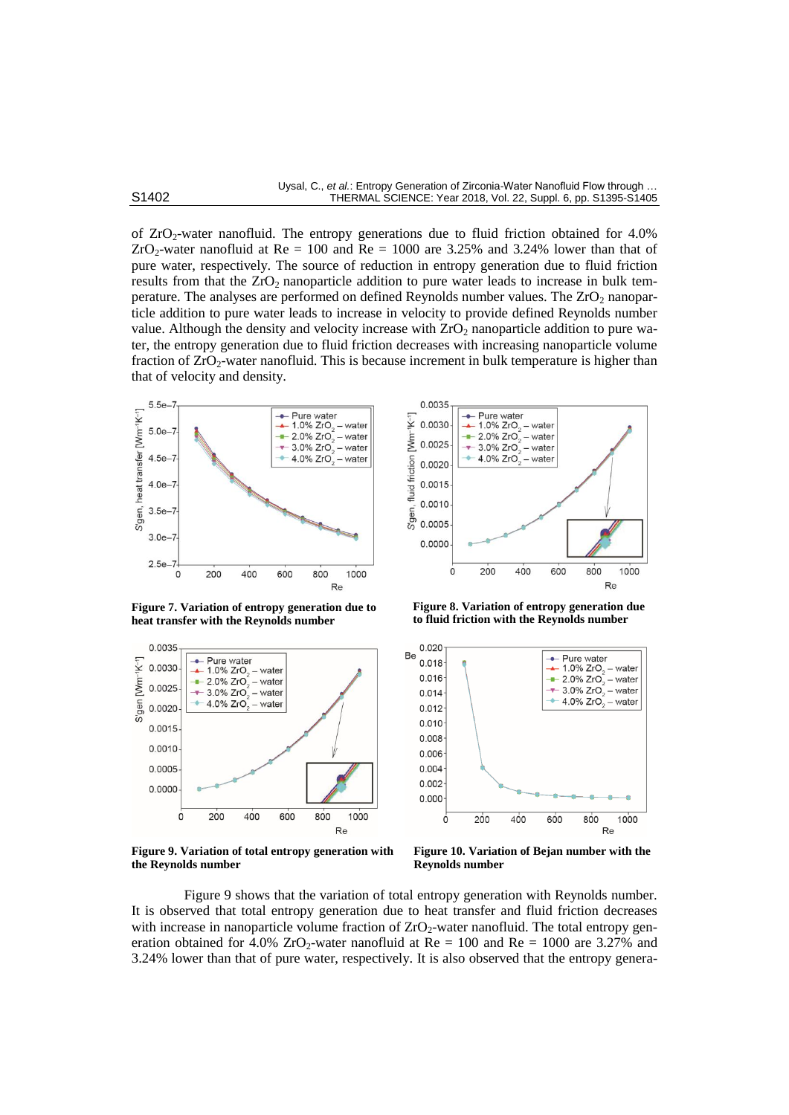#### Uysal, C., *et al.*: Entropy Generation of Zirconia-Water Nanofluid Flow through … S1402 THERMAL SCIENCE: Year 2018, Vol. 22, Suppl. 6, pp. [S1395-](#page-0-0)[S1405](#page-10-0)

of  $ZrO<sub>2</sub>$ -water nanofluid. The entropy generations due to fluid friction obtained for 4.0%  $ZrO<sub>2</sub>$ -water nanofluid at Re = 100 and Re = 1000 are 3.25% and 3.24% lower than that of pure water, respectively. The source of reduction in entropy generation due to fluid friction results from that the  $ZrO<sub>2</sub>$  nanoparticle addition to pure water leads to increase in bulk temperature. The analyses are performed on defined Reynolds number values. The  $ZrO<sub>2</sub>$  nanoparticle addition to pure water leads to increase in velocity to provide defined Reynolds number value. Although the density and velocity increase with  $ZrO<sub>2</sub>$  nanoparticle addition to pure water, the entropy generation due to fluid friction decreases with increasing nanoparticle volume fraction of  $ZrO<sub>2</sub>$ -water nanofluid. This is because increment in bulk temperature is higher than that of velocity and density.



**Figure 7. Variation of entropy generation due to heat transfer with the Reynolds number**



**Figure 9. Variation of total entropy generation with the Reynolds number**



**Figure 8. Variation of entropy generation due to fluid friction with the Reynolds number**



**Figure 10. Variation of Bejan number with the Reynolds number**

Figure 9 shows that the variation of total entropy generation with Reynolds number. It is observed that total entropy generation due to heat transfer and fluid friction decreases with increase in nanoparticle volume fraction of  $ZrO<sub>2</sub>$ -water nanofluid. The total entropy generation obtained for 4.0% ZrO<sub>2</sub>-water nanofluid at Re = 100 and Re = 1000 are 3.27% and 3.24% lower than that of pure water, respectively. It is also observed that the entropy genera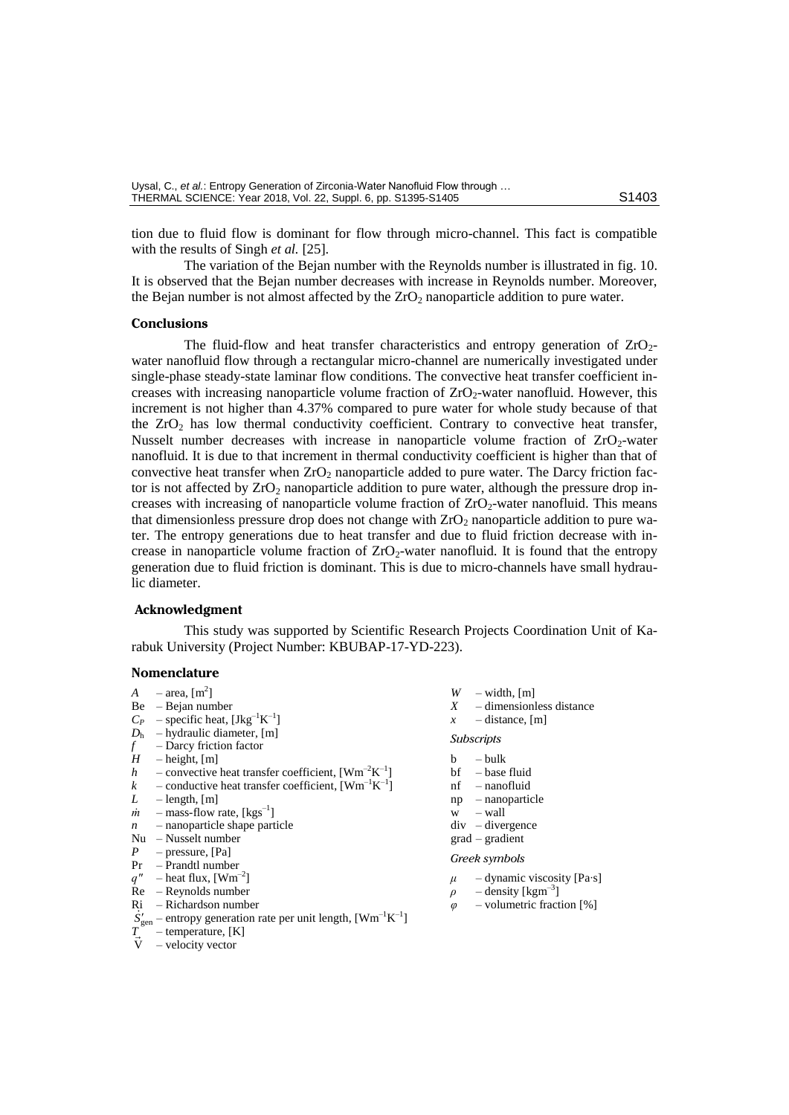tion due to fluid flow is dominant for flow through micro-channel. This fact is compatible with the results of Singh *et al.* [25].

The variation of the Bejan number with the Reynolds number is illustrated in fig. 10. It is observed that the Bejan number decreases with increase in Reynolds number. Moreover, the Bejan number is not almost affected by the  $ZrO<sub>2</sub>$  nanoparticle addition to pure water.

#### **Conclusions**

The fluid-flow and heat transfer characteristics and entropy generation of  $ZrO<sub>2</sub>$ water nanofluid flow through a rectangular micro-channel are numerically investigated under single-phase steady-state laminar flow conditions. The convective heat transfer coefficient increases with increasing nanoparticle volume fraction of  $ZrO<sub>2</sub>$ -water nanofluid. However, this increment is not higher than 4.37% compared to pure water for whole study because of that the  $ZrO<sub>2</sub>$  has low thermal conductivity coefficient. Contrary to convective heat transfer, Nusselt number decreases with increase in nanoparticle volume fraction of  $ZrO<sub>2</sub>$ -water nanofluid. It is due to that increment in thermal conductivity coefficient is higher than that of convective heat transfer when  $ZrO<sub>2</sub>$  nanoparticle added to pure water. The Darcy friction factor is not affected by  $ZrO<sub>2</sub>$  nanoparticle addition to pure water, although the pressure drop increases with increasing of nanoparticle volume fraction of  $ZrO<sub>2</sub>$ -water nanofluid. This means that dimensionless pressure drop does not change with  $ZrO<sub>2</sub>$  nanoparticle addition to pure water. The entropy generations due to heat transfer and due to fluid friction decrease with increase in nanoparticle volume fraction of  $ZrO<sub>2</sub>$ -water nanofluid. It is found that the entropy generation due to fluid friction is dominant. This is due to micro-channels have small hydraulic diameter.

## **Acknowledgment**

This study was supported by Scientific Research Projects Coordination Unit of Karabuk University (Project Number: KBUBAP-17-YD-223).

### **Nomenclature**

- $A$  area,  $[m^2]$
- Be Bejan number
- $C_P$  specific heat, [Jkg<sup>-1</sup>K<sup>-1</sup>]
- $D<sub>h</sub>$  hydraulic diameter, [m]
- *f* Darcy friction factor
- $H$  height, [m]
- $h$  convective heat transfer coefficient,  $[\text{Wm}^{-2}\text{K}^{-1}]$
- k conductive heat transfer coefficient,  $[\text{Wm}^{-1}\text{K}^{-1}]$
- $L$  length,  $[m]$
- $\dot{m}$  mass-flow rate, [kgs<sup>-1</sup>]
- *n* nanoparticle shape particle
- Nu Nusselt number
- *P* pressure, [Pa]
- Pr Prandtl number
- $q''$  heat flux, [ $Wm^{-2}$ ]
- Re Reynolds number
- Ri Richardson number
- $S'_{\text{gen}}$  entropy generation rate per unit length,  $[\text{Wm}^{-1}\text{K}^{-1}]$
- $T_{\rm g}^{\rm gca}$  temperature, [K]<br> $\rm{V}$  velocity vector
- velocity vector

*W* – width, [m]<br>*X* – dimension  $-$  dimensionless distance

*x –* distance, [m]

# *Subscripts*

- 
- $b bulk$
- bf base fluid
- nf nanofluid
- np nanoparticle
- w wall
- div divergence
- grad gradient

*Greek symbols*

*μ* – dynamic viscosity [Pa∙s]

 $\rho$  – density [kgm<sup>-3</sup>]

*φ* – volumetric fraction [%]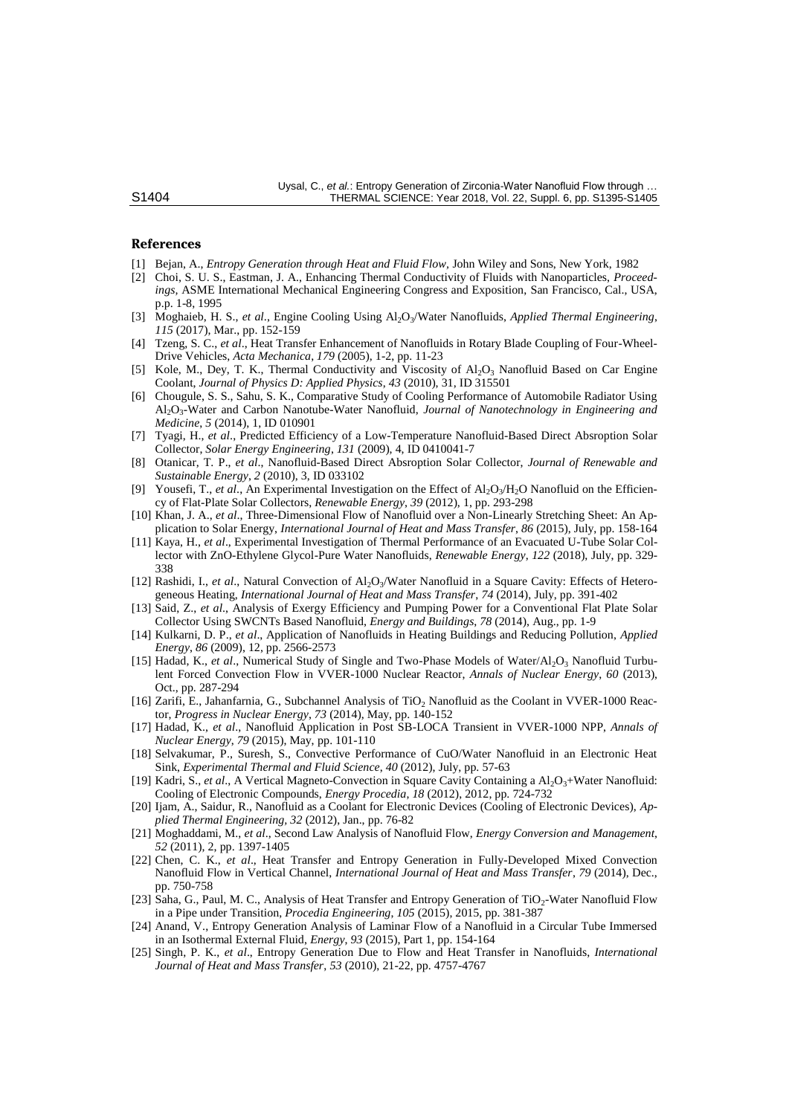#### **References**

- [1] Bejan, A., *Entropy Generation through Heat and Fluid Flow,* John Wiley and Sons, New York, 1982
- [2] Choi, S. U. S., Eastman, J. A., Enhancing Thermal Conductivity of Fluids with Nanoparticles, *Proceedings,* ASME International Mechanical Engineering Congress and Exposition, San Francisco, Cal., USA, p.p. 1-8, 1995
- [3] Moghaieb, H. S., et al., Engine Cooling Using Al<sub>2</sub>O<sub>3</sub>/Water Nanofluids, Applied Thermal Engineering, *115* (2017), Mar., pp. 152-159
- [4] Tzeng, S. C., *et al*., Heat Transfer Enhancement of Nanofluids in Rotary Blade Coupling of Four-Wheel-Drive Vehicles, *Acta Mechanica*, *179* (2005), 1-2, pp. 11-23
- [5] Kole, M., Dey, T. K., Thermal Conductivity and Viscosity of Al<sub>2</sub>O<sub>3</sub> Nanofluid Based on Car Engine Coolant, *Journal of Physics D: Applied Physics*, *43* (2010), 31, ID 315501
- [6] Chougule, S. S., Sahu, S. K., Comparative Study of Cooling Performance of Automobile Radiator Using Al2O<sup>3</sup> -Water and Carbon Nanotube-Water Nanofluid, *Journal of Nanotechnology in Engineering and Medicine*, *5* (2014), 1, ID 010901
- [7] Tyagi, H., *et al*., Predicted Efficiency of a Low-Temperature Nanofluid-Based Direct Absroption Solar Collector, *Solar Energy Engineering*, *131* (2009), 4, ID 0410041-7
- [8] Otanicar, T. P., *et al*., Nanofluid-Based Direct Absroption Solar Collector, *Journal of Renewable and Sustainable Energy*, *2* (2010), 3, ID 033102
- [9] Yousefi, T., *et al.*, An Experimental Investigation on the Effect of Al<sub>2</sub>O<sub>3</sub>/H<sub>2</sub>O Nanofluid on the Efficiency of Flat-Plate Solar Collectors, *Renewable Energy*, *39* (2012), 1, pp. 293-298
- [10] Khan, J. A., *et al*., Three-Dimensional Flow of Nanofluid over a Non-Linearly Stretching Sheet: An Application to Solar Energy, *International Journal of Heat and Mass Transfer*, *86* (2015), July, pp. 158-164
- [11] Kaya, H., *et al*., Experimental Investigation of Thermal Performance of an Evacuated U-Tube Solar Collector with ZnO-Ethylene Glycol-Pure Water Nanofluids, *Renewable Energy*, *122* (2018), July, pp. 329- 338
- [12] Rashidi, I., et al., Natural Convection of Al<sub>2</sub>O<sub>3</sub>/Water Nanofluid in a Square Cavity: Effects of Heterogeneous Heating, *International Journal of Heat and Mass Transfer*, *74* (2014), July, pp. 391-402
- [13] Said, Z., *et al*., Analysis of Exergy Efficiency and Pumping Power for a Conventional Flat Plate Solar Collector Using SWCNTs Based Nanofluid, *Energy and Buildings*, *78* (2014), Aug., pp. 1-9
- [14] Kulkarni, D. P., *et al*., Application of Nanofluids in Heating Buildings and Reducing Pollution, *Applied Energy*, *86* (2009), 12, pp. 2566-2573
- [15] Hadad, K., *et al.*, Numerical Study of Single and Two-Phase Models of Water/Al<sub>2</sub>O<sub>3</sub> Nanofluid Turbulent Forced Convection Flow in VVER-1000 Nuclear Reactor, *Annals of Nuclear Energy*, *60* (2013), Oct., pp. 287-294
- [16] Zarifi, E., Jahanfarnia, G., Subchannel Analysis of TiO<sub>2</sub> Nanofluid as the Coolant in VVER-1000 Reactor, *Progress in Nuclear Energy*, *73* (2014), May, pp. 140-152
- [17] Hadad, K., *et al*., Nanofluid Application in Post SB-LOCA Transient in VVER-1000 NPP, *Annals of Nuclear Energy*, *79* (2015), May, pp. 101-110
- [18] Selvakumar, P., Suresh, S., Convective Performance of CuO/Water Nanofluid in an Electronic Heat Sink, *Experimental Thermal and Fluid Science*, *40* (2012), July, pp. 57-63
- [19] Kadri, S., *et al.*, A Vertical Magneto-Convection in Square Cavity Containing a Al<sub>2</sub>O<sub>3</sub>+Water Nanofluid: Cooling of Electronic Compounds, *Energy Procedia*, *18* (2012), 2012, pp. 724-732
- [20] Ijam, A., Saidur, R., Nanofluid as a Coolant for Electronic Devices (Cooling of Electronic Devices), *Applied Thermal Engineering, 32* (2012), Jan., pp. 76-82
- [21] Moghaddami, M., *et al*., Second Law Analysis of Nanofluid Flow, *Energy Conversion and Management*, *52* (2011), 2, pp. 1397-1405
- [22] Chen, C. K., *et al*., Heat Transfer and Entropy Generation in Fully-Developed Mixed Convection Nanofluid Flow in Vertical Channel, *International Journal of Heat and Mass Transfer*, *79* (2014), Dec., pp. 750-758
- [23] Saha, G., Paul, M. C., Analysis of Heat Transfer and Entropy Generation of TiO<sub>2</sub>-Water Nanofluid Flow in a Pipe under Transition, *Procedia Engineering*, *105* (2015), 2015, pp. 381-387
- [24] Anand, V., Entropy Generation Analysis of Laminar Flow of a Nanofluid in a Circular Tube Immersed in an Isothermal External Fluid, *Energy*, *93* (2015), Part 1, pp. 154-164
- [25] Singh, P. K., *et al*., Entropy Generation Due to Flow and Heat Transfer in Nanofluids, *International Journal of Heat and Mass Transfer*, *53* (2010), 21-22, pp. 4757-4767